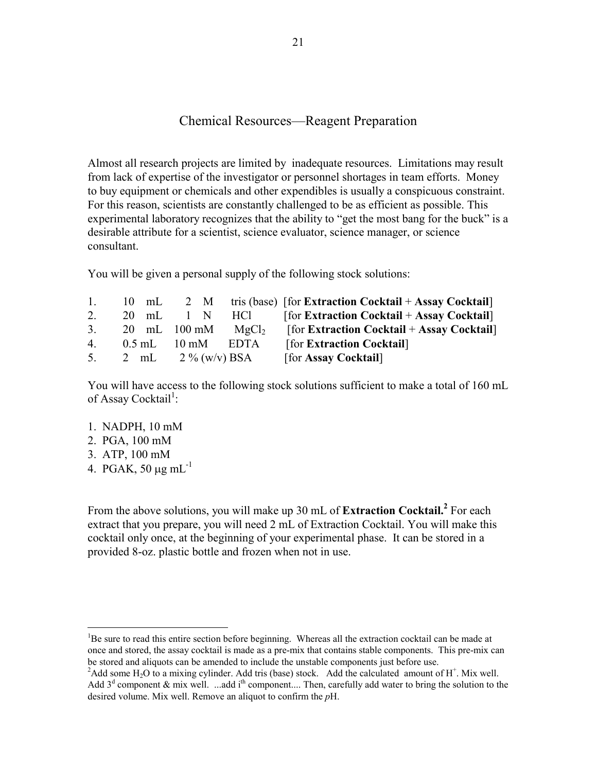## Chemical Resources—Reagent Preparation

Almost all research projects are limited by inadequate resources. Limitations may result from lack of expertise of the investigator or personnel shortages in team efforts. Money to buy equipment or chemicals and other expendibles is usually a conspicuous constraint. For this reason, scientists are constantly challenged to be as efficient as possible. This experimental laboratory recognizes that the ability to "get the most bang for the buck" is a desirable attribute for a scientist, science evaluator, science manager, or science consultant.

You will be given a personal supply of the following stock solutions:

| 1. |       |                                             |     | 10 mL 2 M tris (base) [for Extraction Cocktail + Assay Cocktail] |
|----|-------|---------------------------------------------|-----|------------------------------------------------------------------|
| 2. | 20 mL | $\overline{1}$ N                            | HCl | [for Extraction Cocktail $+$ Assay Cocktail]                     |
|    |       | 3. 20 mL $100 \text{ mM}$ MgCl <sub>2</sub> |     | [for Extraction Cocktail $+$ Assay Cocktail]                     |
|    |       | 4. $0.5$ mL $10$ mM EDTA                    |     | [for Extraction Cocktail]                                        |
|    |       | 5. 2 mL $2\%$ (w/v) BSA                     |     | [for Assay Cocktail]                                             |

You will have access to the following stock solutions sufficient to make a total of 160 mL of Assay Cocktail<sup>1</sup>:

- 1. NADPH, 10 mM
- 2. PGA, 100 mM
- 3. ATP, 100 mM

 $\overline{a}$ 

4. PGAK,  $50 \mu g \text{ mL}^{-1}$ 

From the above solutions, you will make up 30 mL of **Extraction Cocktail.** <sup>2</sup> For each extract that you prepare, you will need 2 mL of Extraction Cocktail. You will make this cocktail only once, at the beginning of your experimental phase. It can be stored in a provided 8-oz. plastic bottle and frozen when not in use.

<sup>&</sup>lt;sup>1</sup>Be sure to read this entire section before beginning. Whereas all the extraction cocktail can be made at once and stored, the assay cocktail is made as a pre-mix that contains stable components. This pre-mix can be stored and aliquots can be amended to include the unstable components just before use.

<sup>&</sup>lt;sup>2</sup>Add some H<sub>2</sub>O to a mixing cylinder. Add tris (base) stock. Add the calculated amount of H<sup>+</sup>. Mix well. Add  $3<sup>d</sup>$  component & mix well. ...add i<sup>th</sup> component.... Then, carefully add water to bring the solution to the desired volume. Mix well. Remove an aliquot to confirm the *p*H.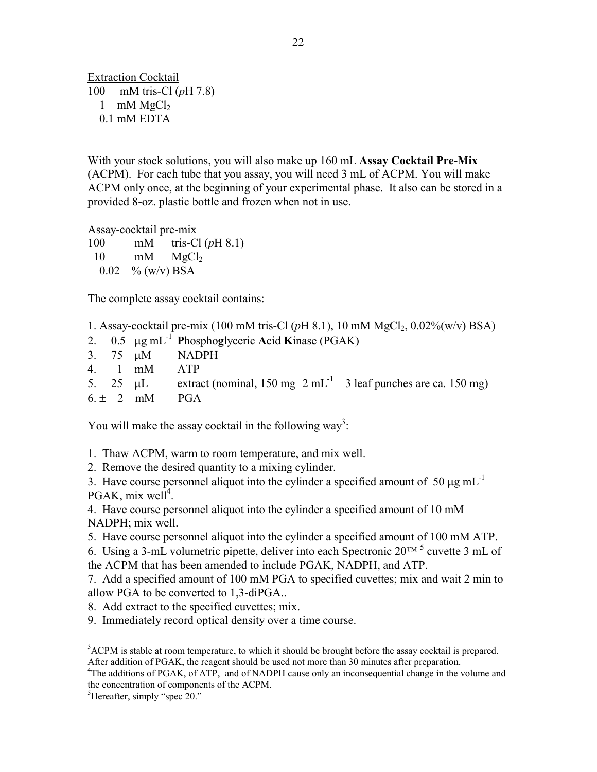Extraction Cocktail 100 mM tris-Cl (*p*H 7.8) 1 mM  $MgCl<sub>2</sub>$ 0.1 mM EDTA

With your stock solutions, you will also make up 160 mL **Assay Cocktail Pre-Mix** (ACPM). For each tube that you assay, you will need 3 mL of ACPM. You will make ACPM only once, at the beginning of your experimental phase. It also can be stored in a provided 8-oz. plastic bottle and frozen when not in use.

Assay-cocktail pre-mix

| 100 | mM                        | tris-Cl $(pH 8.1)$ |
|-----|---------------------------|--------------------|
| 10  |                           | $mM$ $MgCl2$       |
|     | $0.02 \quad \% (w/v) BSA$ |                    |

The complete assay cocktail contains:

1. Assay-cocktail pre-mix (100 mM tris-Cl ( $pH$  8.1), 10 mM MgCl<sub>2</sub>, 0.02%(w/v) BSA)

2.  $0.5 \mu$ g mL<sup>-1</sup> **P**hosphoglyceric **A**cid **K**inase (PGAK)

- 3. 75 uM NADPH
- 4. 1 mM ATP
- 5. 25  $\mu$ L extract (nominal, 150 mg 2 mL<sup>-1</sup>—3 leaf punches are ca. 150 mg)

 $6. \pm 2$  mM PGA

You will make the assay cocktail in the following way<sup>3</sup>:

1. Thaw ACPM, warm to room temperature, and mix well.

2. Remove the desired quantity to a mixing cylinder.

3. Have course personnel aliquot into the cylinder a specified amount of 50  $\mu$ g mL<sup>-1</sup>  $PGAK$ , mix well<sup>4</sup>.

4. Have course personnel aliquot into the cylinder a specified amount of 10 mM NADPH; mix well.

5. Have course personnel aliquot into the cylinder a specified amount of 100 mM ATP.

6. Using a 3-mL volumetric pipette, deliver into each Spectronic  $20<sup>TM</sup>$ <sup>5</sup> cuvette 3 mL of the ACPM that has been amended to include PGAK, NADPH, and ATP.

7. Add a specified amount of 100 mM PGA to specified cuvettes; mix and wait 2 min to allow PGA to be converted to 1,3-diPGA..

- 8. Add extract to the specified cuvettes; mix.
- 9. Immediately record optical density over a time course.

 $\overline{a}$ 

<sup>&</sup>lt;sup>3</sup>ACPM is stable at room temperature, to which it should be brought before the assay cocktail is prepared. After addition of PGAK, the reagent should be used not more than 30 minutes after preparation.

<sup>&</sup>lt;sup>4</sup>The additions of PGAK, of ATP, and of NADPH cause only an inconsequential change in the volume and the concentration of components of the ACPM.

 ${}^{5}$ Hereafter, simply "spec 20."